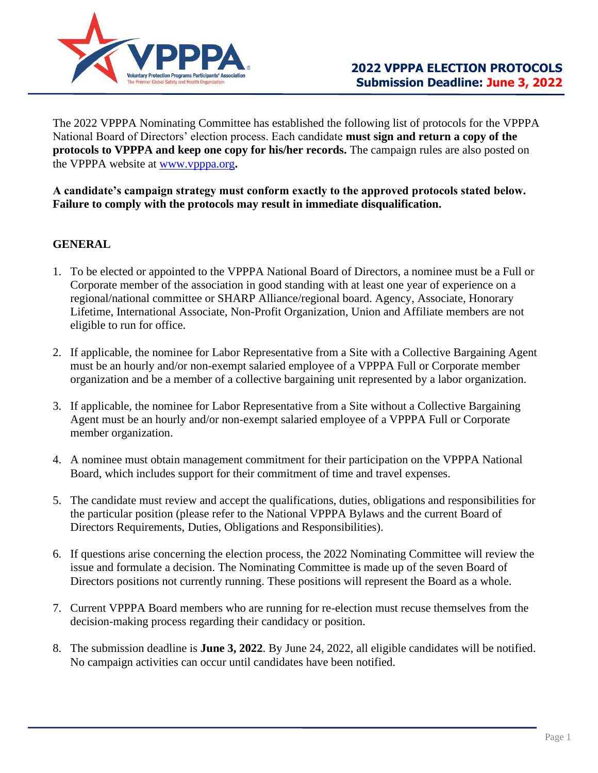

The 2022 VPPPA Nominating Committee has established the following list of protocols for the VPPPA National Board of Directors' election process. Each candidate **must sign and return a copy of the protocols to VPPPA and keep one copy for his/her records.** The campaign rules are also posted on the VPPPA website at [www.vpppa.org](http://www.vpppa.org/)**.**

#### **A candidate's campaign strategy must conform exactly to the approved protocols stated below. Failure to comply with the protocols may result in immediate disqualification.**

# **GENERAL**

- 1. To be elected or appointed to the VPPPA National Board of Directors, a nominee must be a Full or Corporate member of the association in good standing with at least one year of experience on a regional/national committee or SHARP Alliance/regional board. Agency, Associate, Honorary Lifetime, International Associate, Non-Profit Organization, Union and Affiliate members are not eligible to run for office.
- 2. If applicable, the nominee for Labor Representative from a Site with a Collective Bargaining Agent must be an hourly and/or non-exempt salaried employee of a VPPPA Full or Corporate member organization and be a member of a collective bargaining unit represented by a labor organization.
- 3. If applicable, the nominee for Labor Representative from a Site without a Collective Bargaining Agent must be an hourly and/or non-exempt salaried employee of a VPPPA Full or Corporate member organization.
- 4. A nominee must obtain management commitment for their participation on the VPPPA National Board, which includes support for their commitment of time and travel expenses.
- 5. The candidate must review and accept the qualifications, duties, obligations and responsibilities for the particular position (please refer to the National VPPPA Bylaws and the current Board of Directors Requirements, Duties, Obligations and Responsibilities).
- 6. If questions arise concerning the election process, the 2022 Nominating Committee will review the issue and formulate a decision. The Nominating Committee is made up of the seven Board of Directors positions not currently running. These positions will represent the Board as a whole.
- 7. Current VPPPA Board members who are running for re-election must recuse themselves from the decision-making process regarding their candidacy or position.
- 8. The submission deadline is **June 3, 2022**. By June 24, 2022, all eligible candidates will be notified. No campaign activities can occur until candidates have been notified.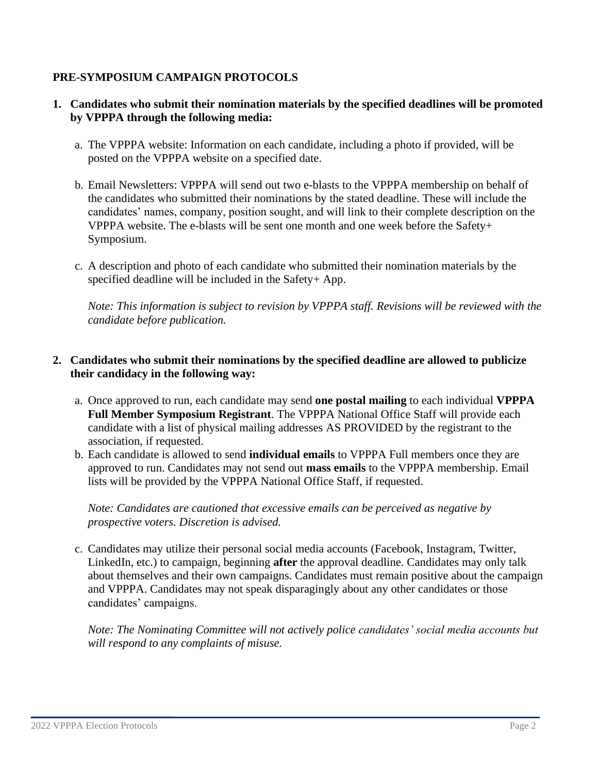## **PRE-SYMPOSIUM CAMPAIGN PROTOCOLS**

### **1. Candidates who submit their nomination materials by the specified deadlines will be promoted by VPPPA through the following media:**

- a. The VPPPA website: Information on each candidate, including a photo if provided, will be posted on the VPPPA website on a specified date.
- b. Email Newsletters: VPPPA will send out two e-blasts to the VPPPA membership on behalf of the candidates who submitted their nominations by the stated deadline. These will include the candidates' names, company, position sought, and will link to their complete description on the VPPPA website. The e-blasts will be sent one month and one week before the Safety+ Symposium.
- c. A description and photo of each candidate who submitted their nomination materials by the specified deadline will be included in the Safety+ App.

*Note: This information is subject to revision by VPPPA staff. Revisions will be reviewed with the candidate before publication.*

## **2. Candidates who submit their nominations by the specified deadline are allowed to publicize their candidacy in the following way:**

- a. Once approved to run, each candidate may send **one postal mailing** to each individual **VPPPA Full Member Symposium Registrant**. The VPPPA National Office Staff will provide each candidate with a list of physical mailing addresses AS PROVIDED by the registrant to the association, if requested.
- b. Each candidate is allowed to send **individual emails** to VPPPA Full members once they are approved to run. Candidates may not send out **mass emails** to the VPPPA membership. Email lists will be provided by the VPPPA National Office Staff, if requested.

*Note: Candidates are cautioned that excessive emails can be perceived as negative by prospective voters. Discretion is advised.*

c. Candidates may utilize their personal social media accounts (Facebook, Instagram, Twitter, LinkedIn, etc.) to campaign, beginning **after** the approval deadline. Candidates may only talk about themselves and their own campaigns. Candidates must remain positive about the campaign and VPPPA. Candidates may not speak disparagingly about any other candidates or those candidates' campaigns.

*Note: The Nominating Committee will not actively police candidates' social media accounts but will respond to any complaints of misuse.*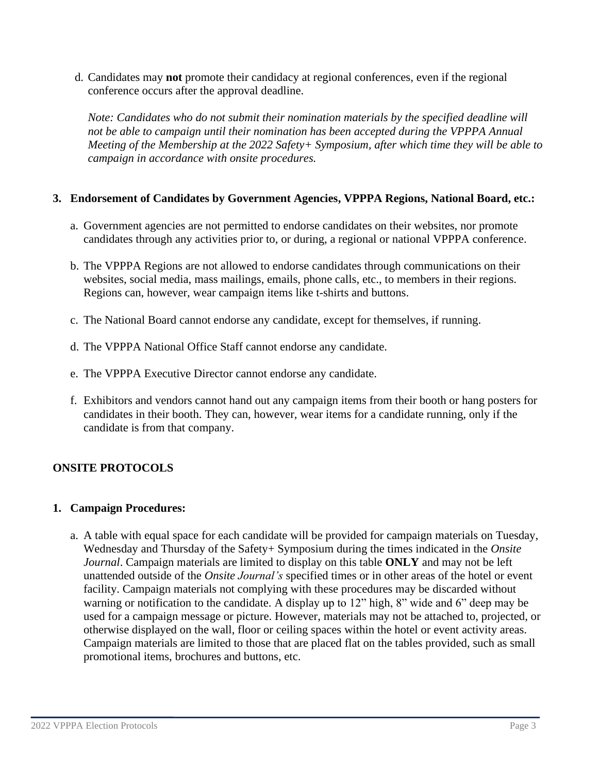d. Candidates may **not** promote their candidacy at regional conferences, even if the regional conference occurs after the approval deadline.

*Note: Candidates who do not submit their nomination materials by the specified deadline will not be able to campaign until their nomination has been accepted during the VPPPA Annual Meeting of the Membership at the 2022 Safety+ Symposium, after which time they will be able to campaign in accordance with onsite procedures.*

### **3. Endorsement of Candidates by Government Agencies, VPPPA Regions, National Board, etc.:**

- a. Government agencies are not permitted to endorse candidates on their websites, nor promote candidates through any activities prior to, or during, a regional or national VPPPA conference.
- b. The VPPPA Regions are not allowed to endorse candidates through communications on their websites, social media, mass mailings, emails, phone calls, etc., to members in their regions. Regions can, however, wear campaign items like t-shirts and buttons.
- c. The National Board cannot endorse any candidate, except for themselves, if running.
- d. The VPPPA National Office Staff cannot endorse any candidate.
- e. The VPPPA Executive Director cannot endorse any candidate.
- f. Exhibitors and vendors cannot hand out any campaign items from their booth or hang posters for candidates in their booth. They can, however, wear items for a candidate running, only if the candidate is from that company.

# **ONSITE PROTOCOLS**

#### **1. Campaign Procedures:**

a. A table with equal space for each candidate will be provided for campaign materials on Tuesday, Wednesday and Thursday of the Safety+ Symposium during the times indicated in the *Onsite Journal*. Campaign materials are limited to display on this table **ONLY** and may not be left unattended outside of the *Onsite Journal's* specified times or in other areas of the hotel or event facility. Campaign materials not complying with these procedures may be discarded without warning or notification to the candidate. A display up to 12" high, 8" wide and 6" deep may be used for a campaign message or picture. However, materials may not be attached to, projected, or otherwise displayed on the wall, floor or ceiling spaces within the hotel or event activity areas. Campaign materials are limited to those that are placed flat on the tables provided, such as small promotional items, brochures and buttons, etc.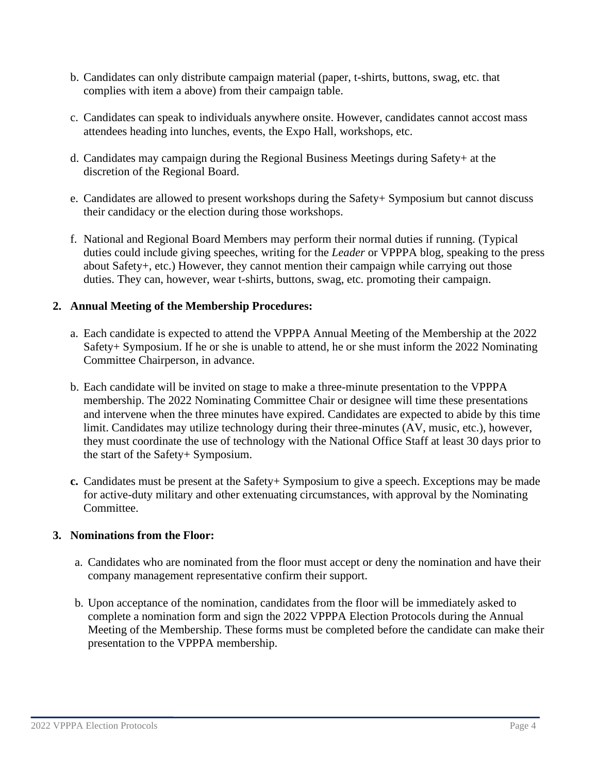- b. Candidates can only distribute campaign material (paper, t-shirts, buttons, swag, etc. that complies with item a above) from their campaign table.
- c. Candidates can speak to individuals anywhere onsite. However, candidates cannot accost mass attendees heading into lunches, events, the Expo Hall, workshops, etc.
- d. Candidates may campaign during the Regional Business Meetings during Safety+ at the discretion of the Regional Board.
- e. Candidates are allowed to present workshops during the Safety+ Symposium but cannot discuss their candidacy or the election during those workshops.
- f. National and Regional Board Members may perform their normal duties if running. (Typical duties could include giving speeches, writing for the *Leader* or VPPPA blog, speaking to the press about Safety+, etc.) However, they cannot mention their campaign while carrying out those duties. They can, however, wear t-shirts, buttons, swag, etc. promoting their campaign.

### **2. Annual Meeting of the Membership Procedures:**

- a. Each candidate is expected to attend the VPPPA Annual Meeting of the Membership at the 2022 Safety+ Symposium. If he or she is unable to attend, he or she must inform the 2022 Nominating Committee Chairperson, in advance.
- b. Each candidate will be invited on stage to make a three-minute presentation to the VPPPA membership. The 2022 Nominating Committee Chair or designee will time these presentations and intervene when the three minutes have expired. Candidates are expected to abide by this time limit. Candidates may utilize technology during their three-minutes (AV, music, etc.), however, they must coordinate the use of technology with the National Office Staff at least 30 days prior to the start of the Safety+ Symposium.
- **c.** Candidates must be present at the Safety+ Symposium to give a speech. Exceptions may be made for active-duty military and other extenuating circumstances, with approval by the Nominating Committee.

#### **3. Nominations from the Floor:**

- a. Candidates who are nominated from the floor must accept or deny the nomination and have their company management representative confirm their support.
- b. Upon acceptance of the nomination, candidates from the floor will be immediately asked to complete a nomination form and sign the 2022 VPPPA Election Protocols during the Annual Meeting of the Membership. These forms must be completed before the candidate can make their presentation to the VPPPA membership.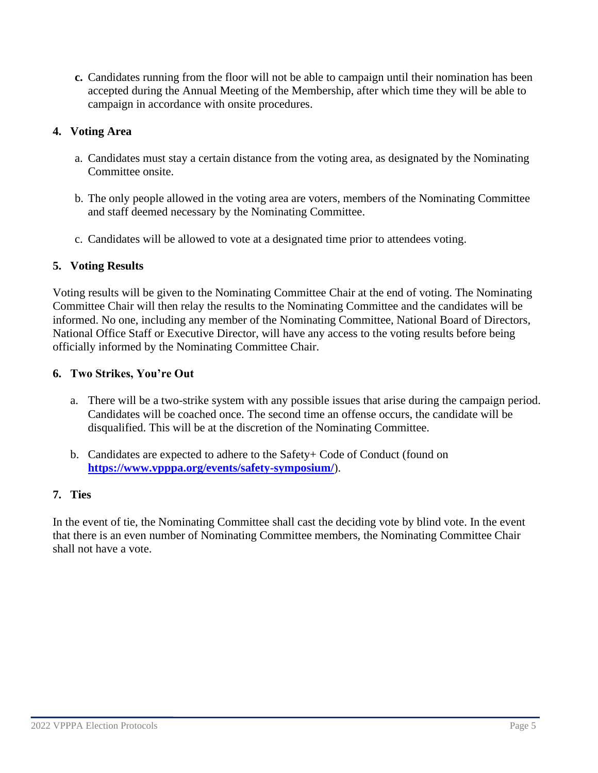**c.** Candidates running from the floor will not be able to campaign until their nomination has been accepted during the Annual Meeting of the Membership, after which time they will be able to campaign in accordance with onsite procedures.

# **4. Voting Area**

- a. Candidates must stay a certain distance from the voting area, as designated by the Nominating Committee onsite.
- b. The only people allowed in the voting area are voters, members of the Nominating Committee and staff deemed necessary by the Nominating Committee.
- c. Candidates will be allowed to vote at a designated time prior to attendees voting.

## **5. Voting Results**

Voting results will be given to the Nominating Committee Chair at the end of voting. The Nominating Committee Chair will then relay the results to the Nominating Committee and the candidates will be informed. No one, including any member of the Nominating Committee, National Board of Directors, National Office Staff or Executive Director, will have any access to the voting results before being officially informed by the Nominating Committee Chair.

### **6. Two Strikes, You're Out**

- a. There will be a two-strike system with any possible issues that arise during the campaign period. Candidates will be coached once. The second time an offense occurs, the candidate will be disqualified. This will be at the discretion of the Nominating Committee.
- b. Candidates are expected to adhere to the Safety+ Code of Conduct (found on **<https://www.vpppa.org/events/safety-symposium/>**).

### **7. Ties**

In the event of tie, the Nominating Committee shall cast the deciding vote by blind vote. In the event that there is an even number of Nominating Committee members, the Nominating Committee Chair shall not have a vote.